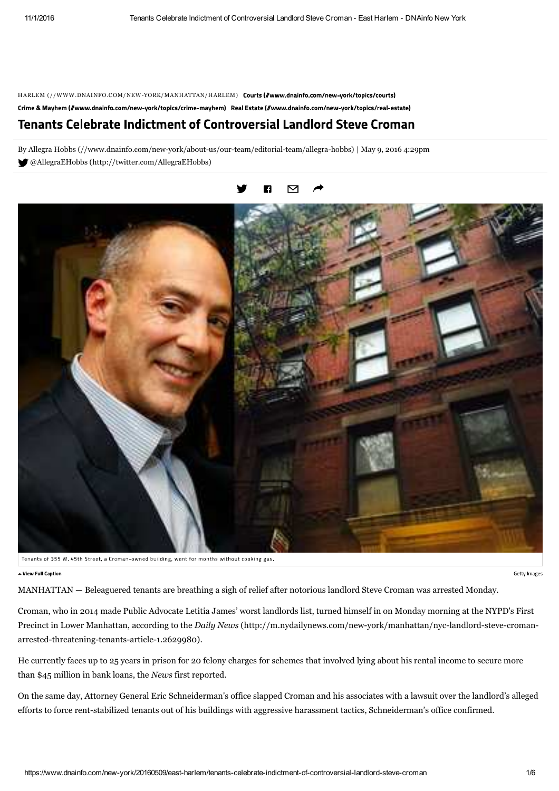HARLEM (//WWW.DNAINFO.COM/NEW-YORK/MANHATTAN/HARLEM) Courts (//www.dnainfo.com/new-york/topics/courts)

Crime & Mayhem (//www.dnainfo.com/new-york/topics/crime-mayhem) Real Estate (//www.dnainfo.com/new-york/topics/real-estate)

## **Tenants Celebrate Indictment of Controversial Landlord Steve Croman**

By Allegra Hobbs (//www.dnainfo.com/new-york/about-us/our-team/editorial-team/allegra-hobbs) | May 9, 2016 4:29pm @AllegraEHobbs (http://twitter.com/AllegraEHobbs)



Tenants of 355 W. 45th Street, a Croman-owned building, went for months without cooking gas.

Getty Images

Miew Full Cantion

MANHATTAN — Beleaguered tenants are breathing a sigh of relief after notorious landlord Steve Croman was arrested Monday.

Croman, who in 2014 made Public Advocate Letitia James' worst landlords list, turned himself in on Monday morning at the NYPD's First Precinct in Lower Manhattan, according to the *Daily News* (http://m.nydailynews.com/new-york/manhattan/nyc-landlord-steve-cromanarrested-threatening-tenants-article-1.2629980).

He currently faces up to 25 years in prison for 20 felony charges for schemes that involved lying about his rental income to secure more than \$45 million in bank loans, the *News* first reported.

On the same day, Attorney General Eric Schneiderman's office slapped Croman and his associates with a lawsuit over the landlord's alleged efforts to force rent-stabilized tenants out of his buildings with aggressive harassment tactics, Schneiderman's office confirmed.